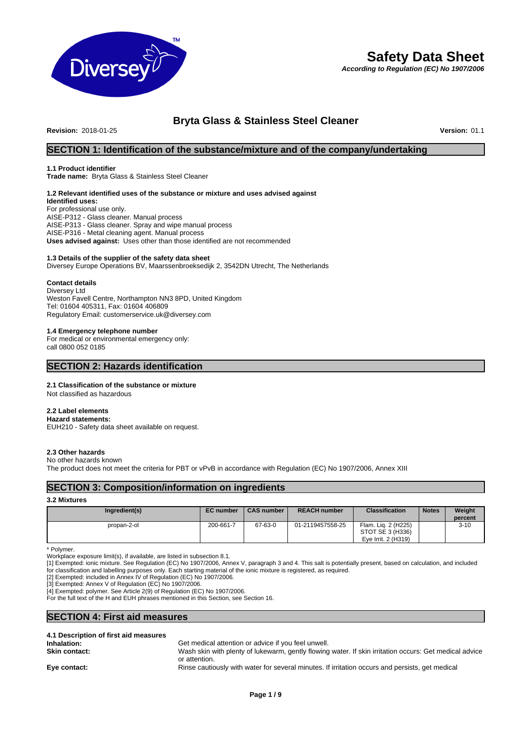

# **Safety Data Sheet**

*According to Regulation (EC) No 1907/2006*

# **Bryta Glass & Stainless Steel Cleaner**

**Revision:** 2018-01-25 **Version:** 01.1

# **SECTION 1: Identification of the substance/mixture and of the company/undertaking**

# **1.1 Product identifier**

**Trade name:** Bryta Glass & Stainless Steel Cleaner

# **1.2 Relevant identified uses of the substance or mixture and uses advised against**

**Identified uses:** For professional use only. AISE-P312 - Glass cleaner. Manual process AISE-P313 - Glass cleaner. Spray and wipe manual process AISE-P316 - Metal cleaning agent. Manual process **Uses advised against:** Uses other than those identified are not recommended

# **1.3 Details of the supplier of the safety data sheet**

Diversey Europe Operations BV, Maarssenbroeksedijk 2, 3542DN Utrecht, The Netherlands

# **Contact details**

Diversey Ltd Weston Favell Centre, Northampton NN3 8PD, United Kingdom Tel: 01604 405311, Fax: 01604 406809 Regulatory Email: customerservice.uk@diversey.com

# **1.4 Emergency telephone number**

For medical or environmental emergency only: call 0800 052 0185

# **SECTION 2: Hazards identification**

# **2.1 Classification of the substance or mixture**

Not classified as hazardous

# **2.2 Label elements**

**Hazard statements:**  EUH210 - Safety data sheet available on request.

# **2.3 Other hazards**

#### No other hazards known

The product does not meet the criteria for PBT or vPvB in accordance with Regulation (EC) No 1907/2006, Annex XIII

# **SECTION 3: Composition/information on ingredients**

# **3.2 Mixtures**

| Ingredient(s) | <b>EC</b> number | <b>CAS number</b> | <b>REACH number</b> | <b>Classification</b>                                          | <b>Notes</b> | Weight<br>percent |
|---------------|------------------|-------------------|---------------------|----------------------------------------------------------------|--------------|-------------------|
| propan-2-ol   | 200-661-7        | 67-63-0           | 01-2119457558-25    | Flam. Lig. 2 (H225)<br>STOT SE 3 (H336)<br>Eve Irrit. 2 (H319) |              | $3 - 10$          |

\* Polymer.

Workplace exposure limit(s), if available, are listed in subsection 8.1.

[1] Exempted: ionic mixture. See Regulation (EC) No 1907/2006, Annex V, paragraph 3 and 4. This salt is potentially present, based on calculation, and included for classification and labelling purposes only. Each starting material of the ionic mixture is registered, as required.

[2] Exempted: included in Annex IV of Regulation (EC) No 1907/2006.

[3] Exempted: Annex V of Regulation (EC) No 1907/2006.

[4] Exempted: polymer. See Article 2(9) of Regulation (EC) No 1907/2006.

For the full text of the H and EUH phrases mentioned in this Section, see Section 16.

# **SECTION 4: First aid measures**

## **4.1 Description of first aid measures Inhalation:** Get medical attention or advice if you feel unwell. **Skin contact:** Wash skin with plenty of lukewarm, gently flowing water. If skin irritation occurs: Get medical advice or attention. Eye contact: Rinse cautiously with water for several minutes. If irritation occurs and persists, get medical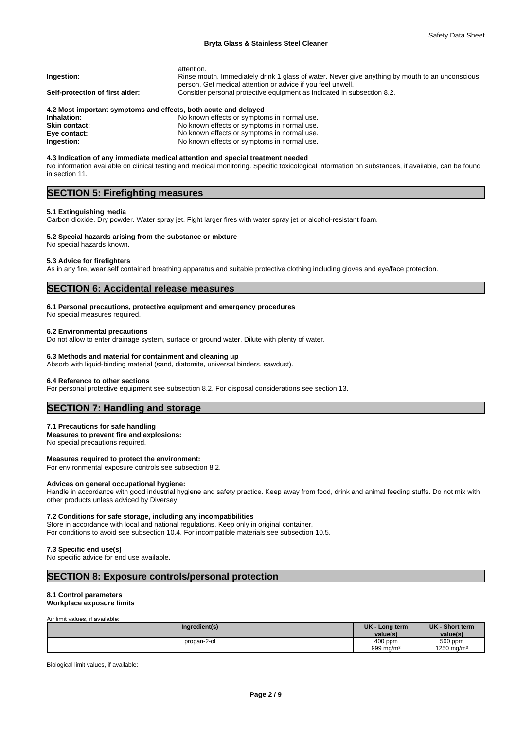# **Bryta Glass & Stainless Steel Cleaner**

|                                                                 | attention.                                                                                      |
|-----------------------------------------------------------------|-------------------------------------------------------------------------------------------------|
| Ingestion:                                                      | Rinse mouth. Immediately drink 1 glass of water. Never give anything by mouth to an unconscious |
|                                                                 | person. Get medical attention or advice if you feel unwell.                                     |
| Self-protection of first aider:                                 | Consider personal protective equipment as indicated in subsection 8.2.                          |
| 4.2 Most important symptoms and effects, both acute and delayed |                                                                                                 |
| Inhalation:                                                     | No known effects or symptoms in normal use.                                                     |
| <b>Skin contact:</b>                                            | No known effects or symptoms in normal use.                                                     |
|                                                                 |                                                                                                 |

**Eye contact:** No known effects or symptoms in normal use.<br> **Ingestion:** No known effects or symptoms in normal use. **Ingestion:** No known effects or symptoms in normal use.

**4.3 Indication of any immediate medical attention and special treatment needed** No information available on clinical testing and medical monitoring. Specific toxicological information on substances, if available, can be found in section 11.

# **SECTION 5: Firefighting measures**

# **5.1 Extinguishing media**

Carbon dioxide. Dry powder. Water spray jet. Fight larger fires with water spray jet or alcohol-resistant foam.

### **5.2 Special hazards arising from the substance or mixture** No special hazards known.

# **5.3 Advice for firefighters**

As in any fire, wear self contained breathing apparatus and suitable protective clothing including gloves and eye/face protection.

# **SECTION 6: Accidental release measures**

# **6.1 Personal precautions, protective equipment and emergency procedures**

No special measures required.

#### **6.2 Environmental precautions**

Do not allow to enter drainage system, surface or ground water. Dilute with plenty of water.

### **6.3 Methods and material for containment and cleaning up**

Absorb with liquid-binding material (sand, diatomite, universal binders, sawdust).

#### **6.4 Reference to other sections**

For personal protective equipment see subsection 8.2. For disposal considerations see section 13.

# **SECTION 7: Handling and storage**

#### **7.1 Precautions for safe handling**

**Measures to prevent fire and explosions:** No special precautions required.

**Measures required to protect the environment:** For environmental exposure controls see subsection 8.2.

#### **Advices on general occupational hygiene:**

Handle in accordance with good industrial hygiene and safety practice. Keep away from food, drink and animal feeding stuffs. Do not mix with other products unless adviced by Diversey.

# **7.2 Conditions for safe storage, including any incompatibilities**

Store in accordance with local and national regulations. Keep only in original container. For conditions to avoid see subsection 10.4. For incompatible materials see subsection 10.5.

# **7.3 Specific end use(s)**

No specific advice for end use available.

# **SECTION 8: Exposure controls/personal protection**

# **8.1 Control parameters**

# **Workplace exposure limits**

Air limit values, if available:

| Ingredient(s) | <b>UK</b><br>⋅ Long term<br>value(s) | UK - Short term<br>value(s)       |  |
|---------------|--------------------------------------|-----------------------------------|--|
| propan-2-ol   | 400 ppm<br>999 mg/m <sup>3</sup>     | 500 ppm<br>1250 mg/m <sup>3</sup> |  |

Biological limit values, if available: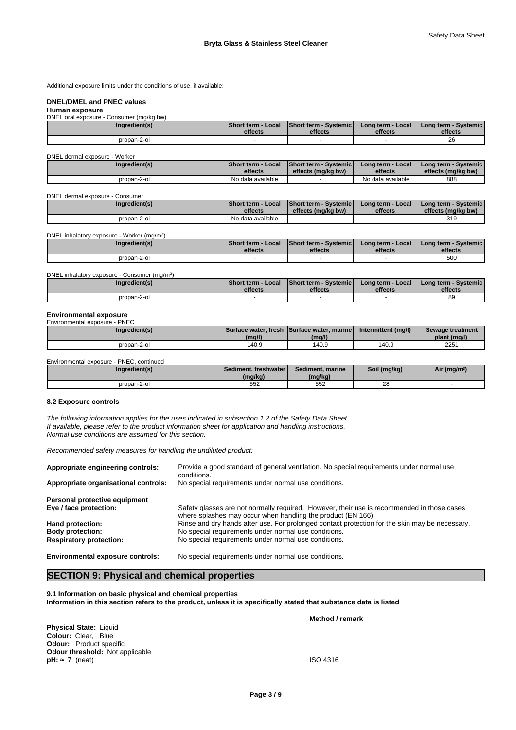Additional exposure limits under the conditions of use, if available:

# **DNEL/DMEL and PNEC values**

#### **Human exposure** - Consumer (mg/kg bw)

| <u>DITLE DIALGADOSULG - CONSUNGI (INQING DW)</u> |                               |                                  |                              |                                     |
|--------------------------------------------------|-------------------------------|----------------------------------|------------------------------|-------------------------------------|
| Ingredient(s)                                    | Short term - Local<br>effects | Short term - Systemic<br>effects | Long term - Local<br>effects | I Long term - Systemic I<br>effects |
| propan-2-ol                                      |                               |                                  |                              | $\sim$<br>zc                        |

# DNEL dermal exposure - Worker

| <b>PITLE GUILLIGI UADUUIU</b> | ,,,,,,,,,     |                                      |                                                     |                              |                                                       |
|-------------------------------|---------------|--------------------------------------|-----------------------------------------------------|------------------------------|-------------------------------------------------------|
|                               | Ingredient(s) | <b>Short term - Local</b><br>effects | <b>Short term - Systemicl</b><br>effects (ma/ka bw) | Long term - Local<br>effects | <b>I Long term - Systemic I</b><br>effects (mg/kg bw) |
|                               | propan-2-ol   | No data available                    |                                                     | No data available            | 888                                                   |

#### DNEL dermal exposure - Consumer

| Ingredient(s) | <b>Short term - Local</b> | <b>Short term - Systemich</b> | ′ Long term - Local | I Long term - Systemic I |
|---------------|---------------------------|-------------------------------|---------------------|--------------------------|
|               | effects                   | effects (ma/ka bw)            | effects             | effects (mg/kg bw)       |
| propan-2-ol   | No data available         |                               |                     | 319                      |

#### DNEL inhalatory exposure - Worker (mg/m<sup>3</sup> ) and  $\overline{\phantom{a}}$

| Ingredient(s) | <b>Short term - Local</b> | <b>Short term - Systemic</b> | Long term - Local | I Long term - Systemic I |
|---------------|---------------------------|------------------------------|-------------------|--------------------------|
|               | effects                   | effects                      | effects           | effects                  |
| propan-2-ol   |                           |                              |                   | 500                      |

#### DNEL inhalatory exposure - Consumer (mg/m<sup>3</sup>) ) **Short term - Local effects Short term - Systemic effects Long term - Local effects Long term - Systemic effects**  propan-2-ol - - - 89

#### **Environmental exposure** Environmental exposure - PNEC

| $\sim$        |        |                                             |                     |                  |
|---------------|--------|---------------------------------------------|---------------------|------------------|
| Ingredient(s) |        | Surface water, fresh Surface water, marinel | Intermittent (mg/l) | Sewage treatment |
|               | (mg/l) | (mg/l)                                      |                     | plant (mg/l)     |
| propan-2-ol   | 140.9  | 140.9                                       | 140.9               | 2251             |

Environmental exposure - PNEC, continued

| naredient(s) | l Sediment. freshwater l<br>(mg/kg, | Sediment, marine<br>(mg/kg) | Soil (mg/kg) | Air (mg/m <sup>3)</sup> |
|--------------|-------------------------------------|-----------------------------|--------------|-------------------------|
| propan-2-ol  | 552                                 | 552                         | no<br>- 20   |                         |

# **8.2 Exposure controls**

*The following information applies for the uses indicated in subsection 1.2 of the Safety Data Sheet. If available, please refer to the product information sheet for application and handling instructions. Normal use conditions are assumed for this section.*

*Recommended safety measures for handling the undiluted product:*

| Appropriate engineering controls:       | Provide a good standard of general ventilation. No special requirements under normal use<br>conditions.                                                    |
|-----------------------------------------|------------------------------------------------------------------------------------------------------------------------------------------------------------|
| Appropriate organisational controls:    | No special requirements under normal use conditions.                                                                                                       |
| Personal protective equipment           |                                                                                                                                                            |
| Eye / face protection:                  | Safety glasses are not normally required. However, their use is recommended in those cases<br>where splashes may occur when handling the product (EN 166). |
| Hand protection:                        | Rinse and dry hands after use. For prolonged contact protection for the skin may be necessary.                                                             |
| <b>Body protection:</b>                 | No special requirements under normal use conditions.                                                                                                       |
| <b>Respiratory protection:</b>          | No special requirements under normal use conditions.                                                                                                       |
| <b>Environmental exposure controls:</b> | No special requirements under normal use conditions.                                                                                                       |

# **SECTION 9: Physical and chemical properties**

**9.1 Information on basic physical and chemical properties Information in this section refers to the product, unless it is specifically stated that substance data is listed**

**Physical State:** Liquid **Colour:** Clear, Blue **Odour:** Product specific **Odour threshold:** Not applicable **pH:**  $\approx$  7 (neat) ISO 4316

**Method / remark**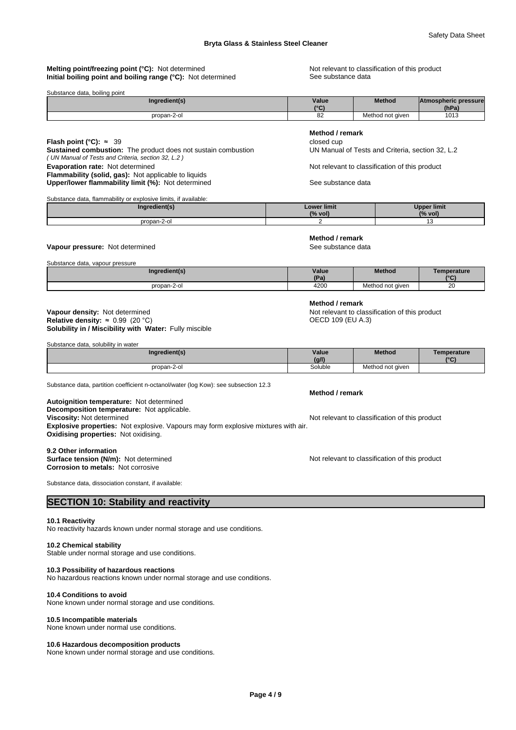# **Melting point/freezing point (°C):** Not determined Not relevant to classification of this product **Initial boiling point and boiling range (°C):** Not determined See substance data

| Substance data, boiling point |                        |                  |                      |  |
|-------------------------------|------------------------|------------------|----------------------|--|
| Ingredient(s)                 | Value                  | <b>Method</b>    | Atmospheric pressure |  |
|                               | $10^{\circ}$<br>$\sim$ |                  | (hPa)                |  |
| propan-2-oi                   | οz                     | Method not aiven | 1013                 |  |

# **Method / remark**

**Flash point (°C):** ≈ 39 closed cup **Sustained combustion:** The product does not sustain combustion UN Manual of Tests and Criteria, section 32, L.2

**Evaporation rate:** Not determined **Evaporation rate:** Not determined Not relevant to classification of this product

Upper/lower flammability limit (%): Not determined See substance data

**Method / remark**

**Method / remark**

#### Substance data, flammability or explosive limits, if available:

**Flammability (solid, gas):** Not applicable to liquids

*( UN Manual of Tests and Criteria, section 32, L.2 )*

| <b>Mient</b> | $\textcolor{red}{\text{-}}$ ower limit | r limit |
|--------------|----------------------------------------|---------|
|              | (% vol.                                | (% vol) |
| nronan-.     |                                        |         |

# **Vapour pressure:** Not determined **See substance data** See substance data

Substance data, vapour pressure

| Ingredient(s) | Value<br>(Pa) | <b>Method</b>    | Temperature<br>$10^{\circ}$ |
|---------------|---------------|------------------|-----------------------------|
| propan-2-ol   | 4200          | Method not given | 20                          |

### **Solubility in / Miscibility with Water:** Fully miscible **Vapour density:** Not determined **Not relevant to classification of this product Relative density:** ≈ 0.99 (20 °C) **Not relevant to classification of this product Relative density:** ≈ 0.99 (20 °C) **Relative density:**  $\approx 0.99$  **(20 °C)**

Substance data, solubility in water

| Ingredient(s) | Value<br>(q/1) | <b>Method</b>    | Temperature<br>$10^{\circ}$ |
|---------------|----------------|------------------|-----------------------------|
| propan-2-ol   | Soluble        | Method not given |                             |
|               | .              |                  |                             |

Substance data, partition coefficient n-octanol/water (log Kow): see subsection 12.3

### **Decomposition temperature:** Not applicable. **Autoignition temperature:** Not determined **Viscosity:** Not determined **Notice 2012** Not relevant to classification of this product **Explosive properties:** Not explosive. Vapours may form explosive mixtures with air. **Oxidising properties:** Not oxidising.

**9.2 Other information Surface tension (N/m):** Not determined **Notification of this product** Not relevant to classification of this product **Corrosion to metals:** Not corrosive

Substance data, dissociation constant, if available:

# **SECTION 10: Stability and reactivity**

#### **10.1 Reactivity**

No reactivity hazards known under normal storage and use conditions.

# **10.2 Chemical stability**

Stable under normal storage and use conditions.

## **10.3 Possibility of hazardous reactions**

No hazardous reactions known under normal storage and use conditions.

#### **10.4 Conditions to avoid**

None known under normal storage and use conditions.

#### **10.5 Incompatible materials**

None known under normal use conditions.

#### **10.6 Hazardous decomposition products**

None known under normal storage and use conditions.

# **Method / remark**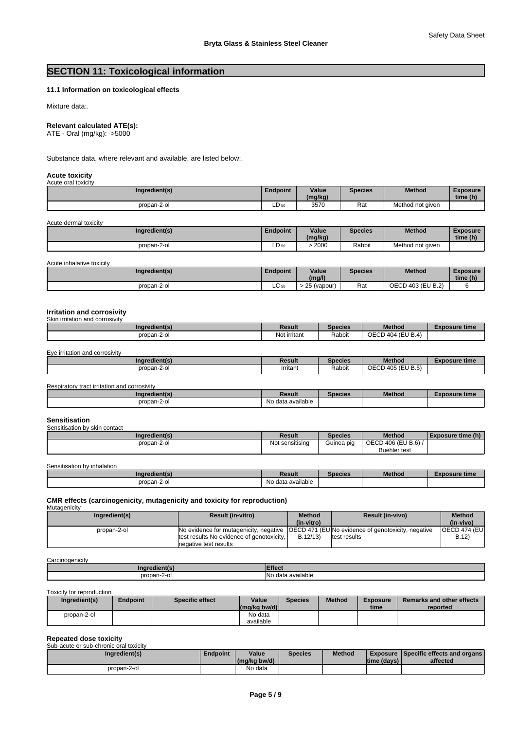# **SECTION 11: Toxicological information**

# **11.1 Information on toxicological effects**

Mixture data:.

# **Relevant calculated ATE(s):**

ATE - Oral (mg/kg): >5000

Substance data, where relevant and available, are listed below:.

#### **Acute toxicity** Acute oral toxicity

| Ingredient(s) | <b>Endpoint</b> | Value<br>(mg/kg) | <b>Species</b> | Method           | Exposure<br>time (h) |
|---------------|-----------------|------------------|----------------|------------------|----------------------|
| propan-2-ol   | LD 50           | 3570             | Rat            | Method not aiven |                      |

Acute dermal toxicity

| Ingredient(s) | Endpoint | Value<br>(mg/kg) | <b>Species</b> | Method           | Exposure<br>time (h) |
|---------------|----------|------------------|----------------|------------------|----------------------|
| propan-2-ol   | LD 50    | 2000<br>. .      | Rabbit         | Method not aiven |                      |

| Acute inhalative toxicity |
|---------------------------|
|---------------------------|

| Ingredient(s) | Endpoint | Value<br>(mg/l)        | Species | Method                                  | <b>Exposure</b><br>time (h) |
|---------------|----------|------------------------|---------|-----------------------------------------|-----------------------------|
| propan-2-ol   | ㄴㄴ 50    | $\sim$<br>(vapour<br>້ | Rat     | $\sim$ n $\sim$<br>403 (EU B.2)<br>UECD |                             |

#### **Irritation and corrosivity** Skin irritation and corrosivity

| Ingredient(s)                  | Result       | <b>Species</b> | <b>Method</b>     | <b>Exposure time</b> |
|--------------------------------|--------------|----------------|-------------------|----------------------|
| propan-2-ol                    | Not irritant | Rabbit         | OECD 404 (EU B.4) |                      |
|                                |              |                |                   |                      |
| Eye irritation and corrosivity |              |                |                   |                      |
| Ingredient(s)                  | Result       | <b>Species</b> | <b>Method</b>     | <b>Exposure time</b> |
|                                | Irritant     | Rabbit         | OECD 405 (EU B.5) |                      |

| Ingredient(s) | Result            | Species | <b>Method</b> | Exposure time |
|---------------|-------------------|---------|---------------|---------------|
| propan-2-ol   | No data available |         |               |               |

#### **Sensitisation** sen<br>Iby skin contact

| <b>SEIBILISATULL DV SNIT CUITEQUE</b> |                             |            |                     |                   |
|---------------------------------------|-----------------------------|------------|---------------------|-------------------|
| Ingredient(s)                         | Result                      | Species    | <b>Method</b>       | Exposure time (h) |
| propan-2-ol                           | $\cdots$<br>Not sensitising | Guinea pig | OECD 406 (EU B.6) / |                   |
|                                       |                             |            | <b>Buehler</b> test |                   |

Sensitisation by inhalation

| Ingredient(s)       | Result            | Species | <b>Method</b> | osure time<br>. |
|---------------------|-------------------|---------|---------------|-----------------|
| propan-2-ol<br>____ | No data available |         |               |                 |

#### **CMR effects (carcinogenicity, mutagenicity and toxicity for reproduction) Mutagenicity**

| Ingredient(s) | <b>Result (in-vitro)</b>                                                                  | <b>Method</b><br>(in-vitro) | <b>Result (in-vivo)</b> | <b>Method</b><br>(in-vivo) |
|---------------|-------------------------------------------------------------------------------------------|-----------------------------|-------------------------|----------------------------|
| propan-2-ol   | No evidence for mutagenicity, negative (OECD 471 (EUNo evidence of genotoxicity, negative |                             |                         | <b>OECD 474 (EUI</b>       |
|               | test results No evidence of genotoxicity,                                                 | B.12/13                     | test results            | B.12)                      |
|               | negative test results                                                                     |                             |                         |                            |

#### **Carcinogenicity**

| n<br>. .           | .                                   |
|--------------------|-------------------------------------|
| nronan-2-∈<br>-2-u | <b>No</b><br>available<br>data<br>. |

Toxicity for reproduction

| Ingredient(s) | Endpoint | Specific effect | Value<br>$(mg/kg)$ bw/d) | Species | <b>Method</b> | <b>Exposure</b><br>time | <b>Remarks and other effects</b><br>reported |
|---------------|----------|-----------------|--------------------------|---------|---------------|-------------------------|----------------------------------------------|
| propan-2-ol   |          |                 | No data<br>available     |         |               |                         |                                              |

# **Repeated dose toxicity** Sub-acute or sub-chronic oral toxicity

| Sup-acute of sup-critofic oral toxicity |                 |              |         |               |                     |                                        |
|-----------------------------------------|-----------------|--------------|---------|---------------|---------------------|----------------------------------------|
| Ingredient(s)                           | <b>Endpoint</b> | Value        | Species | <b>Method</b> |                     | Exposure   Specific effects and organs |
|                                         |                 | (ma/ka bw/d) |         |               | <b>Itime (davs)</b> | affected                               |
| propan-2-ol                             |                 | No data      |         |               |                     |                                        |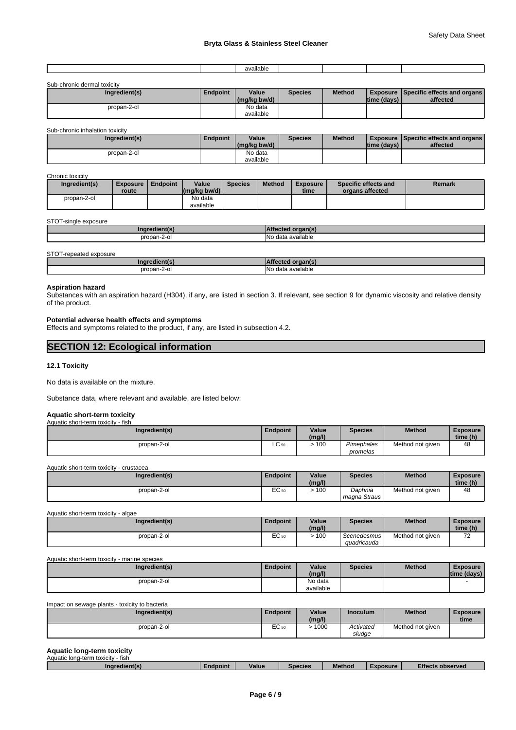| Sub-chronic dermal toxicity |                 |                       |                |               |              |                                                         |
|-----------------------------|-----------------|-----------------------|----------------|---------------|--------------|---------------------------------------------------------|
| Ingredient(s)               | <b>Endpoint</b> | Value<br>(mg/kg bw/d) | <b>Species</b> | <b>Method</b> | Itime (davs) | <b>Exposure Specific effects and organs</b><br>affected |
| propan-2-ol                 |                 | No data               |                |               |              |                                                         |
|                             |                 | available             |                |               |              |                                                         |

Sub-chronic inhalation toxicity

| Ingredient(s) | <b>Endpoint</b> | Value<br>(mg/kg bw/d) | <b>Species</b> | <b>Method</b> | Itime (davs) | Exposure I Specific effects and organs I<br>affected |
|---------------|-----------------|-----------------------|----------------|---------------|--------------|------------------------------------------------------|
| propan-2-ol   |                 | No data               |                |               |              |                                                      |
|               |                 | available             |                |               |              |                                                      |

Chronic toxicity

| Ingredient(s) | Exposure<br>route | Endpoint | Value<br>$\left \frac{\text{mg}}{\text{kg}}\right $ (mg/kg bw/d) | <b>Species</b> | <b>Method</b> | <b>Exposure</b><br>time | Specific effects and<br>organs affected | Remark |
|---------------|-------------------|----------|------------------------------------------------------------------|----------------|---------------|-------------------------|-----------------------------------------|--------|
| propan-2-ol   |                   |          | No data<br>available                                             |                |               |                         |                                         |        |

STOT-single exposure

| nor            |                                                              |
|----------------|--------------------------------------------------------------|
| propan<br>اں-∠ | <br><b>IN</b> o<br>$\sim$<br>$\sim$<br>vailable.<br>uai<br>. |

STOT-repeated exposure

| Ina         |                                |
|-------------|--------------------------------|
| oropan-2-o. | $\cdot$<br>available<br>$\sim$ |

# **Aspiration hazard**

Substances with an aspiration hazard (H304), if any, are listed in section 3. If relevant, see section 9 for dynamic viscosity and relative density of the product.

# **Potential adverse health effects and symptoms**

Effects and symptoms related to the product, if any, are listed in subsection 4.2.

| <b>SECTION 12: Ecological information</b> |  |
|-------------------------------------------|--|
|                                           |  |

# **12.1 Toxicity**

No data is available on the mixture.

Substance data, where relevant and available, are listed below:

# **Aquatic short-term toxicity**

| Aquatic short-term toxicity - fish |                 |        |                |                  |                 |  |
|------------------------------------|-----------------|--------|----------------|------------------|-----------------|--|
| Ingredient(s)                      | <b>Endpoint</b> | Value  | <b>Species</b> | <b>Method</b>    | <b>Exposure</b> |  |
|                                    |                 | (mg/l) |                |                  | time (h)        |  |
| propan-2-ol                        | $\sim$<br>LC 50 | 100    | Pimephales     | Method not given | 48              |  |
|                                    |                 |        | promelas       |                  |                 |  |

Aquatic short-term toxicity - crustacea

| Ingredient(s) | Endpoint        | Value<br>(mg/l) | Species                 | Method           | Exposure<br>time (h) |  |
|---------------|-----------------|-----------------|-------------------------|------------------|----------------------|--|
| propan-2-ol   | $\sim$<br>EU 50 | 100             | Daphnia<br>magna Straus | Method not given | 48                   |  |

Aquatic short-term toxicity - algae

| Ingredient(s) | <b>Endpoint</b>        | Value<br>(mg/l) | Species                    | <b>Method</b>    | Exposure<br>time (h) |  |
|---------------|------------------------|-----------------|----------------------------|------------------|----------------------|--|
| propan-2-ol   | $\sim$<br><b>EU 50</b> | 100             | Scenedesmus<br>auadricauda | Method not given | --                   |  |

Aquatic short-term toxicity - marine species

| Ingredient(s) | -<br><b>Endpoint</b> | Value<br>(mg/l) | Species | <b>Method</b> | <b>Exposure</b><br>time (davs) |  |
|---------------|----------------------|-----------------|---------|---------------|--------------------------------|--|
| propan-2-ol   |                      | No data         |         |               |                                |  |
|               |                      | available       |         |               |                                |  |

Impact on sewage plants - toxicity to bacteria

| Ingredient(s) | <b>Endpoint</b> | Value<br>(mg/l) | Inoculum            | <b>Method</b>    | <b>Exposure</b><br>time |  |
|---------------|-----------------|-----------------|---------------------|------------------|-------------------------|--|
| propan-2-ol   | EC 50           | 1000            | Activated<br>sludae | Method not given |                         |  |

# **Aquatic long-term toxicity**

| Aquatic long-term toxicity<br>- fish |                 |              |                |               |                 |                         |
|--------------------------------------|-----------------|--------------|----------------|---------------|-----------------|-------------------------|
| Ingredient(s)                        | <b>Endpoint</b> | <b>Value</b> | <b>Species</b> | <b>Method</b> | <b>EXDOSURE</b> | <b>Effects observed</b> |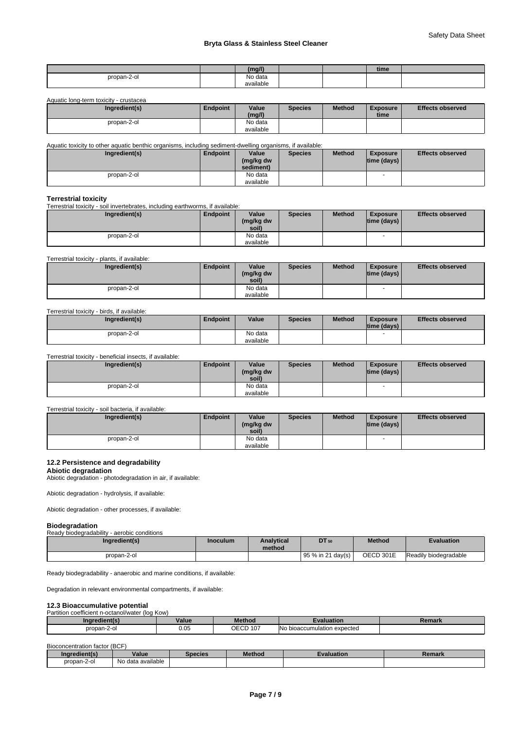# **Bryta Glass & Stainless Steel Cleaner**

|             | -- "                            |  | . .<br>time |  |
|-------------|---------------------------------|--|-------------|--|
| propan-2-ol | $\ddot{\phantom{1}}$<br>No data |  |             |  |
|             | available                       |  |             |  |

Aquatic long-term toxicity - crustacea

| Ingredient(s) | Endpoint | Value<br>(mg/l) | <b>Species</b> | <b>Method</b> | <b>Exposure</b><br>time | <b>Effects observed</b> |
|---------------|----------|-----------------|----------------|---------------|-------------------------|-------------------------|
| propan-2-ol   |          | No data         |                |               |                         |                         |
|               |          | available       |                |               |                         |                         |

Aquatic toxicity to other aquatic benthic organisms, including sediment-dwelling organisms, if available:

| Ingredient(s) | Endpoint | Value<br>(mg/kg dw<br>sediment) | <b>Species</b> | <b>Method</b> | <b>Exposure</b><br>$ time$ (days) $ $ | <b>Effects observed</b> |
|---------------|----------|---------------------------------|----------------|---------------|---------------------------------------|-------------------------|
| propan-2-ol   |          | No data                         |                |               |                                       |                         |
|               |          | available                       |                |               |                                       |                         |

### **Terrestrial toxicity**

Terrestrial toxicity - soil invertebrates, including earthworms, if available:

| Ingredient(s) | Endpoint | Value<br>(mg/kg dw<br>soil) | <b>Species</b> | <b>Method</b> | <b>Exposure</b><br> time (days) | <b>Effects observed</b> |
|---------------|----------|-----------------------------|----------------|---------------|---------------------------------|-------------------------|
| propan-2-ol   |          | No data<br>available        |                |               | $\overline{\phantom{a}}$        |                         |

Terrestrial toxicity - plants, if available:

| Ingredient(s) | Endpoint | Value<br>(mg/kg dw<br>soil) | <b>Species</b> | <b>Method</b> | Exposure<br> time (days) | <b>Effects observed</b> |
|---------------|----------|-----------------------------|----------------|---------------|--------------------------|-------------------------|
| propan-2-ol   |          | No data<br>available        |                |               |                          |                         |

## Terrestrial toxicity - birds, if available:

| Ingredient(s) | <b>Endpoint</b> | Value                | <b>Species</b> | <b>Method</b> | <b>Exposure</b><br>$ time$ (days) $ $ | <b>Effects observed</b> |
|---------------|-----------------|----------------------|----------------|---------------|---------------------------------------|-------------------------|
| propan-2-ol   |                 | No data<br>available |                |               |                                       |                         |

Terrestrial toxicity - beneficial insects, if available:

| Ingredient(s) | Endpoint | Value<br>(mg/kg dw<br>soil) | <b>Species</b> | <b>Method</b> | <b>Exposure</b><br> time (days) | <b>Effects observed</b> |
|---------------|----------|-----------------------------|----------------|---------------|---------------------------------|-------------------------|
| propan-2-ol   |          | No data<br>available        |                |               |                                 |                         |

# Terrestrial toxicity - soil bacteria, if available:

| Ingredient(s) | Endpoint | Value<br>(mg/kg dw<br>soil) | <b>Species</b> | <b>Method</b> | Exposure<br> time (days) | <b>Effects observed</b> |
|---------------|----------|-----------------------------|----------------|---------------|--------------------------|-------------------------|
| propan-2-ol   |          | No data                     |                |               | -                        |                         |
|               |          | available                   |                |               |                          |                         |

# **12.2 Persistence and degradability**

# **Abiotic degradation**

Abiotic degradation - photodegradation in air, if available:

Abiotic degradation - hydrolysis, if available:

Abiotic degradation - other processes, if available:

# **Biodegradation**

| Ready biodegradability - aerobic conditions |                 |                             |                    |               |                       |
|---------------------------------------------|-----------------|-----------------------------|--------------------|---------------|-----------------------|
| Ingredient(s)                               | <b>Inoculum</b> | <b>Analytical</b><br>method | DT 50              | <b>Method</b> | <b>Evaluation</b>     |
| propan-2-ol                                 |                 |                             | $95%$ in 21 day(s) | OECD 301E     | Readily biodegradable |

Ready biodegradability - anaerobic and marine conditions, if available:

Degradation in relevant environmental compartments, if available:

# **12.3 Bioaccumulative potential**

Partition coefficient n-octanol/water (log Kow)

| <b>arredient</b> (s.<br>mar | Value      | <b>Method</b> | valuation                                 | ленаг. |
|-----------------------------|------------|---------------|-------------------------------------------|--------|
| propan-2-ol<br>$\sim$       | ∩⊾<br>v.vu | OECD<br>107   | <b>IN</b> o<br>o bioaccumulation expected |        |

Bioconcentration factor (BCF)

| Inaredient(s) | Value                       | Species | <b>Method</b> | Evaluation | Remark |
|---------------|-----------------------------|---------|---------------|------------|--------|
| propan-2-ol   | .<br>⊨data available<br>No. |         |               |            |        |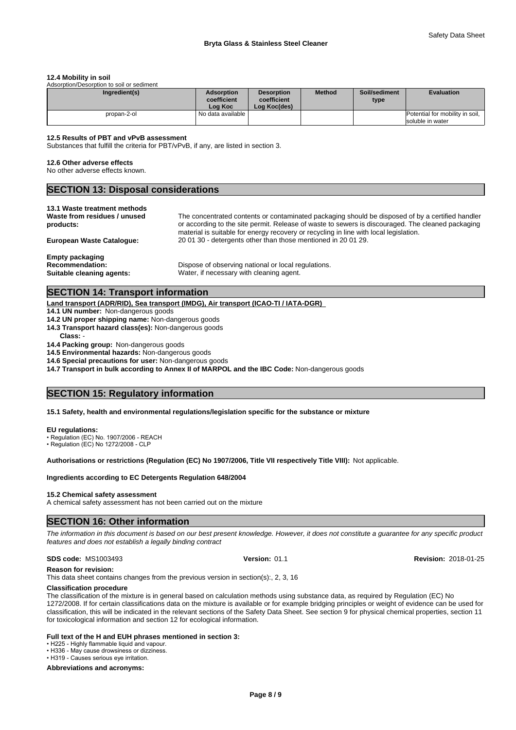#### **12.4 Mobility in soil**

Adsorption/Desorption to soil or sediment

| Ingredient(s) | <b>Adsorption</b><br>coefficient<br>Loa Koc | <b>Desorption</b><br>coefficient<br>Loa Koc(des) | <b>Method</b> | Soil/sediment<br>type | <b>Evaluation</b>                                   |
|---------------|---------------------------------------------|--------------------------------------------------|---------------|-----------------------|-----------------------------------------------------|
| propan-2-ol   | I No data available I                       |                                                  |               |                       | Potential for mobility in soil,<br>soluble in water |

### **12.5 Results of PBT and vPvB assessment**

Substances that fulfill the criteria for PBT/vPvB, if any, are listed in section 3.

#### **12.6 Other adverse effects**

No other adverse effects known.

# **SECTION 13: Disposal considerations**

#### **13.1 Waste treatment methods**

| Waste from residues / unused     | The concentrated contents or contaminated packaging should be disposed of by a certified handler  |
|----------------------------------|---------------------------------------------------------------------------------------------------|
| products:                        | or according to the site permit. Release of waste to sewers is discouraged. The cleaned packaging |
|                                  | material is suitable for energy recovery or recycling in line with local legislation.             |
| <b>European Waste Cataloque:</b> | 200130 - detergents other than those mentioned in 200129.                                         |
| <b>Empty packaging</b>           |                                                                                                   |
| <b>Recommendation:</b>           | Dispose of observing national or local regulations.                                               |

**Suitable cleaning agents:** Water, if necessary with cleaning agent.

# **SECTION 14: Transport information**

**Land transport (ADR/RID), Sea transport (IMDG), Air transport (ICAO-TI / IATA-DGR)** 

- **14.1 UN number:** Non-dangerous goods
- **14.2 UN proper shipping name:** Non-dangerous goods
- **14.3 Transport hazard class(es):** Non-dangerous goods
	- **Class:** -
- **14.4 Packing group:** Non-dangerous goods
- **14.5 Environmental hazards:** Non-dangerous goods

**14.6 Special precautions for user:** Non-dangerous goods

**14.7 Transport in bulk according to Annex II of MARPOL and the IBC Code:** Non-dangerous goods

# **SECTION 15: Regulatory information**

**15.1 Safety, health and environmental regulations/legislation specific for the substance or mixture**

#### **EU regulations:**

• Regulation (EC) No. 1907/2006 - REACH

**Authorisations or restrictions (Regulation (EC) No 1907/2006, Title VII respectively Title VIII):** Not applicable.

# **Ingredients according to EC Detergents Regulation 648/2004**

#### **15.2 Chemical safety assessment**

A chemical safety assessment has not been carried out on the mixture

# **SECTION 16: Other information**

*The information in this document is based on our best present knowledge. However, it does not constitute a guarantee for any specific product features and does not establish a legally binding contract*

#### **SDS code:** MS1003493 **Version:** 01.1 **Revision:** 2018-01-25

**Reason for revision:** This data sheet contains changes from the previous version in section(s):, 2, 3, 16

#### **Classification procedure**

The classification of the mixture is in general based on calculation methods using substance data, as required by Regulation (EC) No 1272/2008. If for certain classifications data on the mixture is available or for example bridging principles or weight of evidence can be used for classification, this will be indicated in the relevant sections of the Safety Data Sheet. See section 9 for physical chemical properties, section 11 for toxicological information and section 12 for ecological information.

#### **Full text of the H and EUH phrases mentioned in section 3:**

• H225 - Highly flammable liquid and vapour.

• H336 - May cause drowsiness or dizziness. • H319 - Causes serious eye irritation.

**Abbreviations and acronyms:**

<sup>•</sup> Regulation (EC) No 1272/2008 - CLP